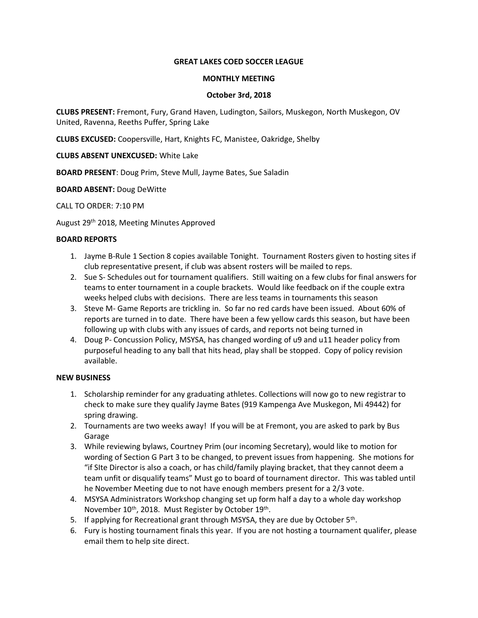## **GREAT LAKES COED SOCCER LEAGUE**

### **MONTHLY MEETING**

## **October 3rd, 2018**

**CLUBS PRESENT:** Fremont, Fury, Grand Haven, Ludington, Sailors, Muskegon, North Muskegon, OV United, Ravenna, Reeths Puffer, Spring Lake

**CLUBS EXCUSED:** Coopersville, Hart, Knights FC, Manistee, Oakridge, Shelby

## **CLUBS ABSENT UNEXCUSED:** White Lake

**BOARD PRESENT**: Doug Prim, Steve Mull, Jayme Bates, Sue Saladin

## **BOARD ABSENT:** Doug DeWitte

CALL TO ORDER: 7:10 PM

August 29th 2018, Meeting Minutes Approved

## **BOARD REPORTS**

- 1. Jayme B-Rule 1 Section 8 copies available Tonight. Tournament Rosters given to hosting sites if club representative present, if club was absent rosters will be mailed to reps.
- 2. Sue S- Schedules out for tournament qualifiers. Still waiting on a few clubs for final answers for teams to enter tournament in a couple brackets. Would like feedback on if the couple extra weeks helped clubs with decisions. There are less teams in tournaments this season
- 3. Steve M- Game Reports are trickling in. So far no red cards have been issued. About 60% of reports are turned in to date. There have been a few yellow cards this season, but have been following up with clubs with any issues of cards, and reports not being turned in
- 4. Doug P- Concussion Policy, MSYSA, has changed wording of u9 and u11 header policy from purposeful heading to any ball that hits head, play shall be stopped. Copy of policy revision available.

# **NEW BUSINESS**

- 1. Scholarship reminder for any graduating athletes. Collections will now go to new registrar to check to make sure they qualify Jayme Bates (919 Kampenga Ave Muskegon, Mi 49442) for spring drawing.
- 2. Tournaments are two weeks away! If you will be at Fremont, you are asked to park by Bus Garage
- 3. While reviewing bylaws, Courtney Prim (our incoming Secretary), would like to motion for wording of Section G Part 3 to be changed, to prevent issues from happening. She motions for "if SIte Director is also a coach, or has child/family playing bracket, that they cannot deem a team unfit or disqualify teams" Must go to board of tournament director. This was tabled until he November Meeting due to not have enough members present for a 2/3 vote.
- 4. MSYSA Administrators Workshop changing set up form half a day to a whole day workshop November 10<sup>th</sup>, 2018. Must Register by October 19<sup>th</sup>.
- 5. If applying for Recreational grant through MSYSA, they are due by October 5<sup>th</sup>.
- 6. Fury is hosting tournament finals this year. If you are not hosting a tournament qualifer, please email them to help site direct.